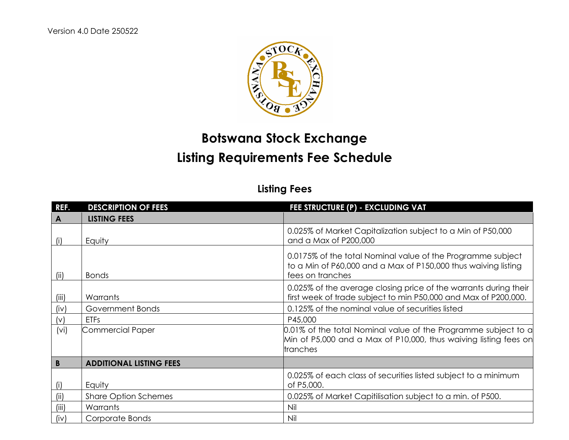

## **Botswana Stock Exchange Listing Requirements Fee Schedule**

## **Listing Fees**

| REF.              | <b>DESCRIPTION OF FEES</b>     | FEE STRUCTURE (P) - EXCLUDING VAT                                                                                                                 |
|-------------------|--------------------------------|---------------------------------------------------------------------------------------------------------------------------------------------------|
| A                 | <b>LISTING FEES</b>            |                                                                                                                                                   |
| (i)               | Equity                         | 0.025% of Market Capitalization subject to a Min of P50,000<br>and a Max of P200,000                                                              |
| (ii)              | <b>Bonds</b>                   | 0.0175% of the total Nominal value of the Programme subject<br>to a Min of P60,000 and a Max of P150,000 thus waiving listing<br>fees on tranches |
| (iii)             | Warrants                       | 0.025% of the average closing price of the warrants during their<br>first week of trade subject to min P50,000 and Max of P200,000.               |
| (iv)              | Government Bonds               | 0.125% of the nominal value of securities listed                                                                                                  |
| (v)               | <b>ETFs</b>                    | P45,000                                                                                                                                           |
| (v <sub>i</sub> ) | <b>Commercial Paper</b>        | 0.01% of the total Nominal value of the Programme subject to a<br>Min of P5,000 and a Max of P10,000, thus waiving listing fees on<br>tranches    |
| B                 | <b>ADDITIONAL LISTING FEES</b> |                                                                                                                                                   |
| (i)               | Equity                         | 0.025% of each class of securities listed subject to a minimum<br>of P5,000.                                                                      |
| (ii)              | <b>Share Option Schemes</b>    | 0.025% of Market Capitilisation subject to a min. of P500.                                                                                        |
| (iii)             | Warrants                       | Nil                                                                                                                                               |
| (iv)              | Corporate Bonds                | Nil                                                                                                                                               |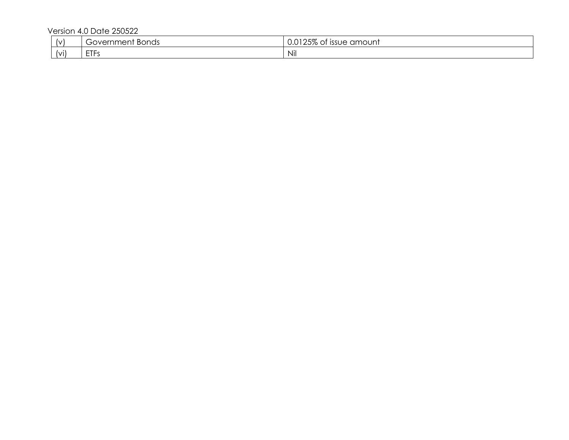Version 4.0 Date 250522

| $\sqrt{ }$ | <u>Fovernment</u><br><b>Bonds</b><br>w | $\Omega$ $\Gamma$ $\Omega$<br>amount<br><b>ISSUE</b><br>J.UT<br>. ZJ ⁄o UI |
|------------|----------------------------------------|----------------------------------------------------------------------------|
| (vi)       | ETE <sub>1</sub><br>د ۱۱ ـ             | Nil                                                                        |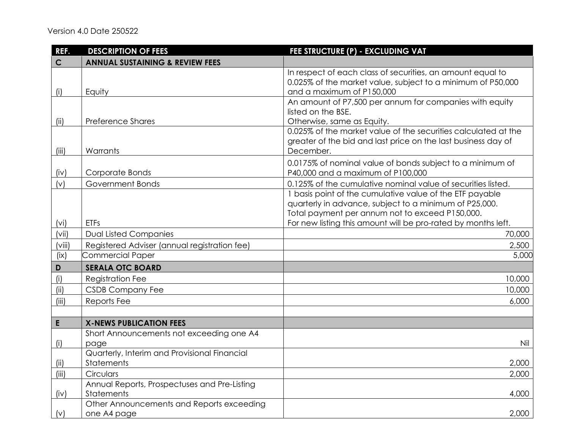| REF.        | <b>DESCRIPTION OF FEES</b>                                        | FEE STRUCTURE (P) - EXCLUDING VAT                                                                                                                                                                                                      |
|-------------|-------------------------------------------------------------------|----------------------------------------------------------------------------------------------------------------------------------------------------------------------------------------------------------------------------------------|
| $\mathbf C$ | <b>ANNUAL SUSTAINING &amp; REVIEW FEES</b>                        |                                                                                                                                                                                                                                        |
| (i)         | Equity                                                            | In respect of each class of securities, an amount equal to<br>0.025% of the market value, subject to a minimum of P50,000<br>and a maximum of P150,000                                                                                 |
| (ii)        | <b>Preference Shares</b>                                          | An amount of P7,500 per annum for companies with equity<br>listed on the BSE.<br>Otherwise, same as Equity.                                                                                                                            |
| (iii)       | Warrants                                                          | 0.025% of the market value of the securities calculated at the<br>greater of the bid and last price on the last business day of<br>December.                                                                                           |
| (iv)        | Corporate Bonds                                                   | 0.0175% of nominal value of bonds subject to a minimum of<br>P40,000 and a maximum of P100,000                                                                                                                                         |
| (v)         | Government Bonds                                                  | 0.125% of the cumulative nominal value of securities listed.                                                                                                                                                                           |
| (vi)        | <b>ETFs</b>                                                       | I basis point of the cumulative value of the ETF payable<br>quarterly in advance, subject to a minimum of P25,000.<br>Total payment per annum not to exceed P150,000.<br>For new listing this amount will be pro-rated by months left. |
| (vii)       | <b>Dual Listed Companies</b>                                      | 70,000                                                                                                                                                                                                                                 |
| (viii)      | Registered Adviser (annual registration fee)                      | 2,500                                                                                                                                                                                                                                  |
| (ix)        | <b>Commercial Paper</b>                                           | 5,000                                                                                                                                                                                                                                  |
| $\mathbf D$ | <b>SERALA OTC BOARD</b>                                           |                                                                                                                                                                                                                                        |
| (i)         | <b>Registration Fee</b>                                           | 10,000                                                                                                                                                                                                                                 |
| (ii)        | <b>CSDB Company Fee</b>                                           | 10,000                                                                                                                                                                                                                                 |
| (iii)       | Reports Fee                                                       | 6,000                                                                                                                                                                                                                                  |
|             |                                                                   |                                                                                                                                                                                                                                        |
| E           | <b>X-NEWS PUBLICATION FEES</b>                                    |                                                                                                                                                                                                                                        |
| (i)         | Short Announcements not exceeding one A4<br>page                  | Nil                                                                                                                                                                                                                                    |
| (ii)        | Quarterly, Interim and Provisional Financial<br><b>Statements</b> | 2,000                                                                                                                                                                                                                                  |
| (iii)       | Circulars                                                         | 2,000                                                                                                                                                                                                                                  |
| (iv)        | Annual Reports, Prospectuses and Pre-Listing<br><b>Statements</b> | 4,000                                                                                                                                                                                                                                  |
| (v)         | Other Announcements and Reports exceeding<br>one A4 page          | 2,000                                                                                                                                                                                                                                  |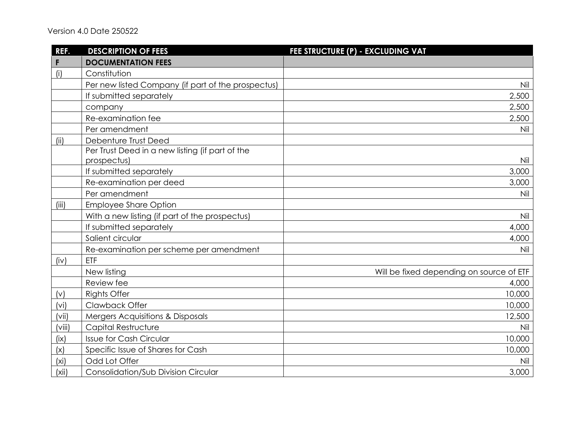| REF.              | <b>DESCRIPTION OF FEES</b>                         | FEE STRUCTURE (P) - EXCLUDING VAT        |
|-------------------|----------------------------------------------------|------------------------------------------|
| F                 | <b>DOCUMENTATION FEES</b>                          |                                          |
| (i)               | Constitution                                       |                                          |
|                   | Per new listed Company (if part of the prospectus) | Nil                                      |
|                   | If submitted separately                            | 2,500                                    |
|                   | company                                            | 2,500                                    |
|                   | Re-examination fee                                 | 2,500                                    |
|                   | Per amendment                                      | Nil                                      |
| (iii)             | Debenture Trust Deed                               |                                          |
|                   | Per Trust Deed in a new listing (if part of the    |                                          |
|                   | prospectus)                                        | Nil                                      |
|                   | If submitted separately                            | 3,000                                    |
|                   | Re-examination per deed                            | 3,000                                    |
|                   | Per amendment                                      | Nil                                      |
| (iii)             | <b>Employee Share Option</b>                       |                                          |
|                   | With a new listing (if part of the prospectus)     | Nil                                      |
|                   | If submitted separately                            | 4,000                                    |
|                   | Salient circular                                   | 4,000                                    |
|                   | Re-examination per scheme per amendment            | Nil                                      |
| (iv)              | ETF                                                |                                          |
|                   | New listing                                        | Will be fixed depending on source of ETF |
|                   | Review fee                                         | 4,000                                    |
| (v)               | <b>Rights Offer</b>                                | 10,000                                   |
| (vi)              | Clawback Offer                                     | 10,000                                   |
| (vii)             | Mergers Acquisitions & Disposals                   | 12,500                                   |
| (viii)            | Capital Restructure                                | Nil                                      |
| (ix)              | <b>Issue for Cash Circular</b>                     | 10,000                                   |
| (x)               | Specific Issue of Shares for Cash                  | 10,000                                   |
| (x <sub>i</sub> ) | Odd Lot Offer                                      | Nil                                      |
| (xii)             | Consolidation/Sub Division Circular                | 3,000                                    |